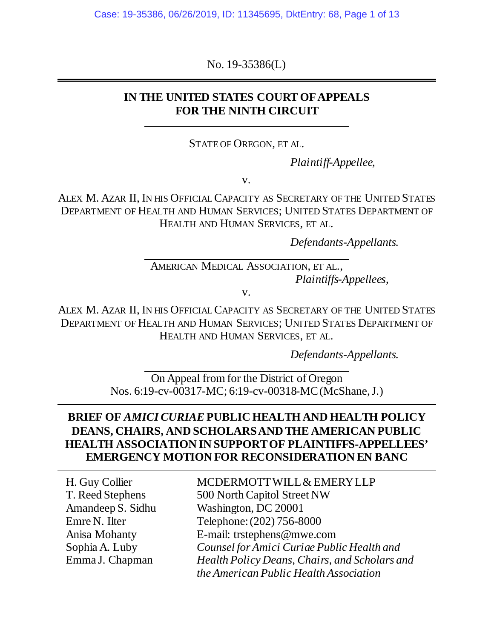No. 19-35386(L)

## **IN THE UNITED STATES COURT OF APPEALS FOR THE NINTH CIRCUIT**

STATE OF OREGON, ET AL.

*Plaintiff-Appellee*,

v.

ALEX M. AZAR II, IN HIS OFFICIAL CAPACITY AS SECRETARY OF THE UNITED STATES DEPARTMENT OF HEALTH AND HUMAN SERVICES; UNITED STATES DEPARTMENT OF HEALTH AND HUMAN SERVICES, ET AL.

*Defendants-Appellants*.

AMERICAN MEDICAL ASSOCIATION, ET AL.,  *Plaintiffs-Appellees*,

v.

ALEX M. AZAR II, IN HIS OFFICIAL CAPACITY AS SECRETARY OF THE UNITED STATES DEPARTMENT OF HEALTH AND HUMAN SERVICES; UNITED STATES DEPARTMENT OF HEALTH AND HUMAN SERVICES, ET AL.

*Defendants-Appellants*.

On Appeal from for the District of Oregon Nos. 6:19-cv-00317-MC; 6:19-cv-00318-MC (McShane, J.)

## **BRIEF OF** *AMICI CURIAE* **PUBLIC HEALTH AND HEALTH POLICY DEANS, CHAIRS, AND SCHOLARS AND THE AMERICAN PUBLIC HEALTH ASSOCIATION IN SUPPORT OF PLAINTIFFS-APPELLEES' EMERGENCY MOTION FOR RECONSIDERATION EN BANC**

H. Guy Collier T. Reed Stephens Amandeep S. Sidhu Emre N. Ilter Anisa Mohanty Sophia A. Luby Emma J. Chapman

MCDERMOTT WILL & EMERY LLP 500 North Capitol Street NW Washington, DC 20001 Telephone: (202) 756-8000 E-mail: trstephens@mwe.com *Counsel for Amici Curiae Public Health and Health Policy Deans, Chairs, and Scholars and the American Public Health Association*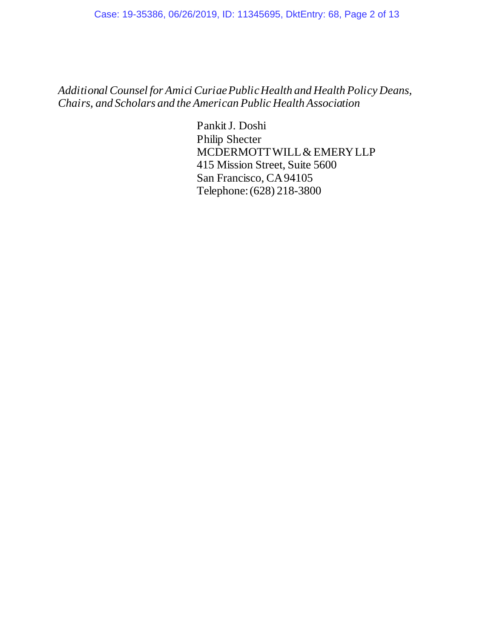*Additional Counsel for Amici Curiae Public Health and Health Policy Deans, Chairs, and Scholars and the American Public Health Association*

> Pankit J. Doshi Philip Shecter MCDERMOTT WILL & EMERY LLP 415 Mission Street, Suite 5600 San Francisco, CA 94105 Telephone: (628) 218-3800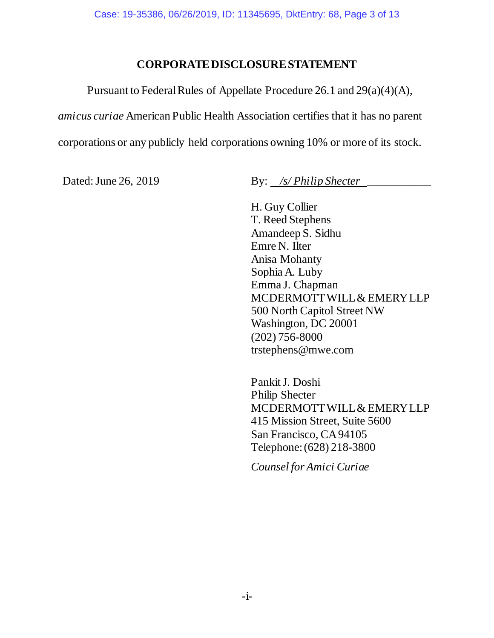### **CORPORATE DISCLOSURE STATEMENT**

Pursuant to Federal Rules of Appellate Procedure 26.1 and 29(a)(4)(A),

*amicus curiae* American Public Health Association certifies that it has no parent

corporations or any publicly held corporations owning 10% or more of its stock.

Dated: June 26, 2019 By: */s/ Philip Shecter* 

H. Guy Collier T. Reed Stephens Amandeep S. Sidhu Emre N. Ilter Anisa Mohanty Sophia A. Luby Emma J. Chapman MCDERMOTT WILL & EMERY LLP 500 North Capitol Street NW Washington, DC 20001 (202) 756-8000 trstephens@mwe.com

Pankit J. Doshi Philip Shecter MCDERMOTT WILL & EMERY LLP 415 Mission Street, Suite 5600 San Francisco, CA 94105 Telephone: (628) 218-3800

*Counsel for Amici Curiae*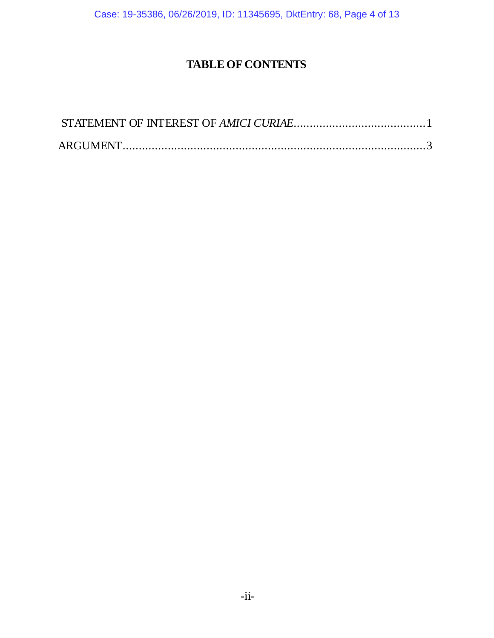Case: 19-35386, 06/26/2019, ID: 11345695, DktEntry: 68, Page 4 of 13

# <span id="page-3-0"></span>**TABLE OF CONTENTS**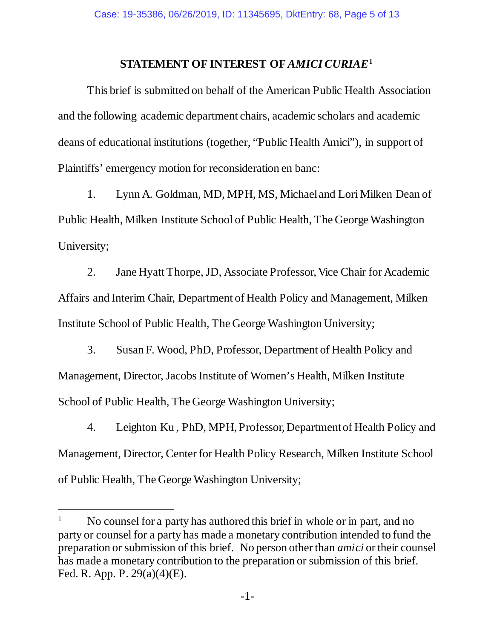#### **STATEMENT OF INTEREST OF** *AMICI CURIAE***[1](#page-4-0)**

This brief is submitted on behalf of the American Public Health Association and the following academic department chairs, academic scholars and academic deans of educational institutions (together, "Public Health Amici"), in support of Plaintiffs' emergency motion for reconsideration en banc:

1. Lynn A. Goldman, MD, MPH, MS, Michael and Lori Milken Dean of Public Health, Milken Institute School of Public Health, The George Washington University;

2. Jane Hyatt Thorpe, JD, Associate Professor, Vice Chair for Academic Affairs and Interim Chair, Department of Health Policy and Management, Milken Institute School of Public Health, The George Washington University;

3. Susan F. Wood, PhD, Professor, Department of Health Policy and Management, Director, Jacobs Institute of Women's Health, Milken Institute School of Public Health, The George Washington University;

4. Leighton Ku , PhD, MPH, Professor, Department of Health Policy and Management, Director, Center for Health Policy Research, Milken Institute School of Public Health, The George Washington University;

 $\ddot{\phantom{a}}$ 

<span id="page-4-0"></span><sup>&</sup>lt;sup>1</sup> No counsel for a party has authored this brief in whole or in part, and no party or counsel for a party has made a monetary contribution intended to fund the preparation or submission of this brief. No person other than *amici* or their counsel has made a monetary contribution to the preparation or submission of this brief. Fed. R. App. P. 29(a)(4)(E).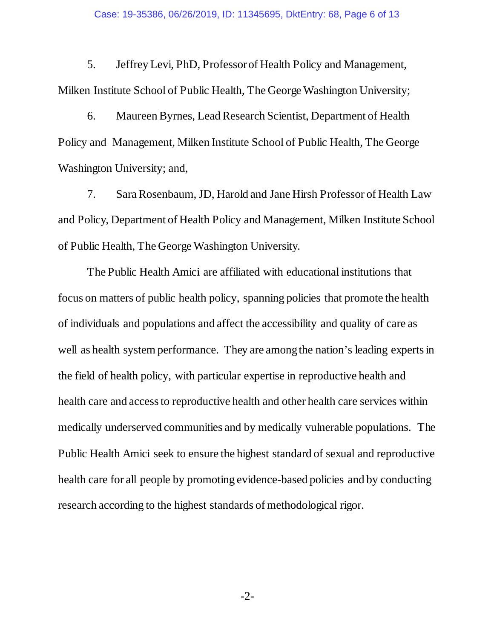5. Jeffrey Levi, PhD, Professor of Health Policy and Management, Milken Institute School of Public Health, The George Washington University;

6. Maureen Byrnes, Lead Research Scientist, Department of Health Policy and Management, Milken Institute School of Public Health, The George Washington University; and,

7. Sara Rosenbaum, JD, Harold and Jane Hirsh Professor of Health Law and Policy, Department of Health Policy and Management, Milken Institute School of Public Health, The George Washington University.

The Public Health Amici are affiliated with educational institutions that focus on matters of public health policy, spanning policies that promote the health of individuals and populations and affect the accessibility and quality of care as well as health system performance. They are among the nation's leading experts in the field of health policy, with particular expertise in reproductive health and health care and access to reproductive health and other health care services within medically underserved communities and by medically vulnerable populations. The Public Health Amici seek to ensure the highest standard of sexual and reproductive health care for all people by promoting evidence-based policies and by conducting research according to the highest standards of methodological rigor.

-2-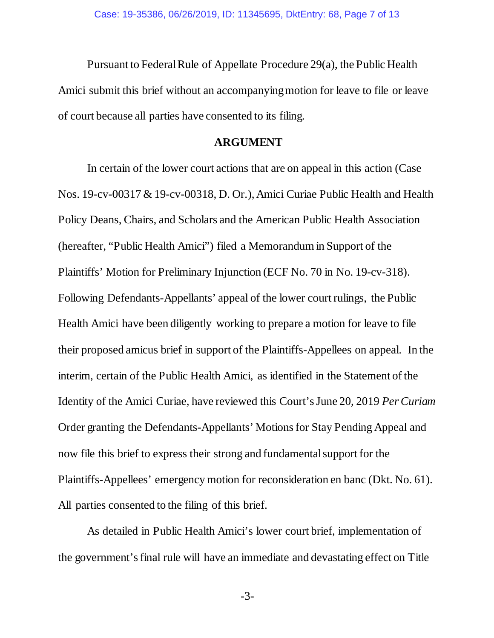Pursuant to Federal Rule of Appellate Procedure 29(a), the Public Health Amici submit this brief without an accompanying motion for leave to file or leave of court because all parties have consented to its filing.

#### **ARGUMENT**

<span id="page-6-0"></span>In certain of the lower court actions that are on appeal in this action (Case Nos. 19-cv-00317 & 19-cv-00318, D. Or.), Amici Curiae Public Health and Health Policy Deans, Chairs, and Scholars and the American Public Health Association (hereafter, "Public Health Amici") filed a Memorandum in Support of the Plaintiffs' Motion for Preliminary Injunction (ECF No. 70 in No. 19-cv-318). Following Defendants-Appellants' appeal of the lower court rulings, the Public Health Amici have been diligently working to prepare a motion for leave to file their proposed amicus brief in support of the Plaintiffs-Appellees on appeal. In the interim, certain of the Public Health Amici, as identified in the Statement of the Identity of the Amici Curiae, have reviewed this Court's June 20, 2019 *Per Curiam* Order granting the Defendants-Appellants' Motions for Stay Pending Appeal and now file this brief to express their strong and fundamental support for the Plaintiffs-Appellees' emergency motion for reconsideration en banc (Dkt. No. 61). All parties consented to the filing of this brief.

As detailed in Public Health Amici's lower court brief, implementation of the government's final rule will have an immediate and devastating effect on Title

-3-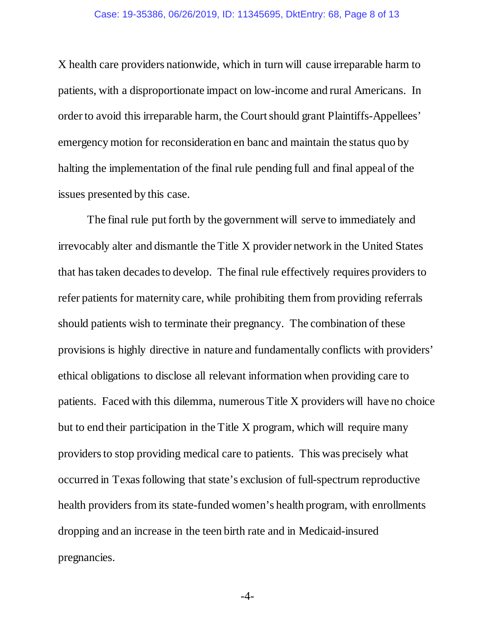X health care providers nationwide, which in turn will cause irreparable harm to patients, with a disproportionate impact on low-income and rural Americans. In order to avoid this irreparable harm, the Court should grant Plaintiffs-Appellees' emergency motion for reconsideration en banc and maintain the status quo by halting the implementation of the final rule pending full and final appeal of the issues presented by this case.

The final rule put forth by the government will serve to immediately and irrevocably alter and dismantle the Title X provider network in the United States that has taken decades to develop. The final rule effectively requires providers to refer patients for maternity care, while prohibiting them from providing referrals should patients wish to terminate their pregnancy. The combination of these provisions is highly directive in nature and fundamentally conflicts with providers' ethical obligations to disclose all relevant information when providing care to patients. Faced with this dilemma, numerous Title X providers will have no choice but to end their participation in the Title X program, which will require many providers to stop providing medical care to patients. This was precisely what occurred in Texas following that state's exclusion of full-spectrum reproductive health providers from its state-funded women's health program, with enrollments dropping and an increase in the teen birth rate and in Medicaid-insured pregnancies.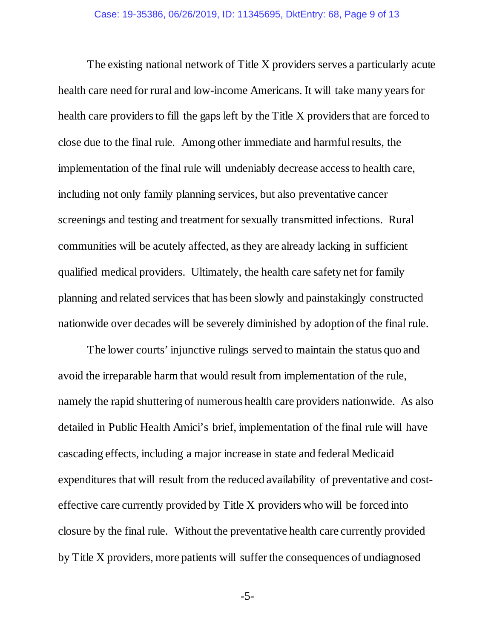The existing national network of Title X providers serves a particularly acute health care need for rural and low-income Americans. It will take many years for health care providers to fill the gaps left by the Title X providers that are forced to close due to the final rule. Among other immediate and harmful results, the implementation of the final rule will undeniably decrease access to health care, including not only family planning services, but also preventative cancer screenings and testing and treatment for sexually transmitted infections. Rural communities will be acutely affected, as they are already lacking in sufficient qualified medical providers. Ultimately, the health care safety net for family planning and related services that has been slowly and painstakingly constructed nationwide over decades will be severely diminished by adoption of the final rule.

The lower courts' injunctive rulings served to maintain the status quo and avoid the irreparable harm that would result from implementation of the rule, namely the rapid shuttering of numerous health care providers nationwide. As also detailed in Public Health Amici's brief, implementation of the final rule will have cascading effects, including a major increase in state and federal Medicaid expenditures that will result from the reduced availability of preventative and costeffective care currently provided by Title X providers who will be forced into closure by the final rule. Without the preventative health care currently provided by Title X providers, more patients will suffer the consequences of undiagnosed

-5-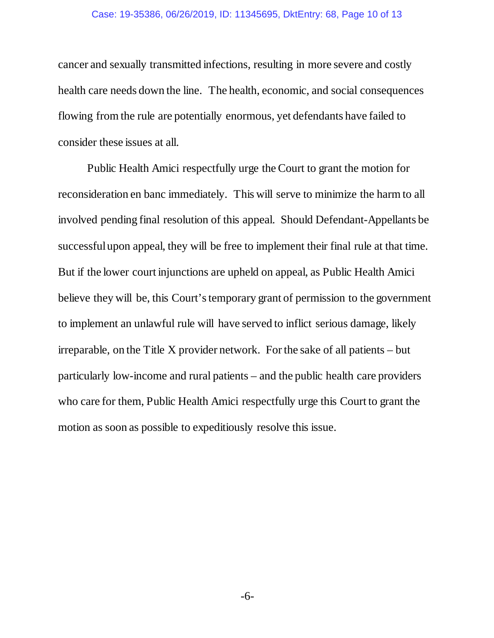#### Case: 19-35386, 06/26/2019, ID: 11345695, DktEntry: 68, Page 10 of 13

cancer and sexually transmitted infections, resulting in more severe and costly health care needs down the line. The health, economic, and social consequences flowing from the rule are potentially enormous, yet defendants have failed to consider these issues at all.

Public Health Amici respectfully urge the Court to grant the motion for reconsideration en banc immediately. This will serve to minimize the harm to all involved pending final resolution of this appeal. Should Defendant-Appellants be successful upon appeal, they will be free to implement their final rule at that time. But if the lower court injunctions are upheld on appeal, as Public Health Amici believe they will be, this Court's temporary grant of permission to the government to implement an unlawful rule will have served to inflict serious damage, likely irreparable, on the Title X provider network. For the sake of all patients  $-$  but particularly low-income and rural patients – and the public health care providers who care for them, Public Health Amici respectfully urge this Court to grant the motion as soon as possible to expeditiously resolve this issue.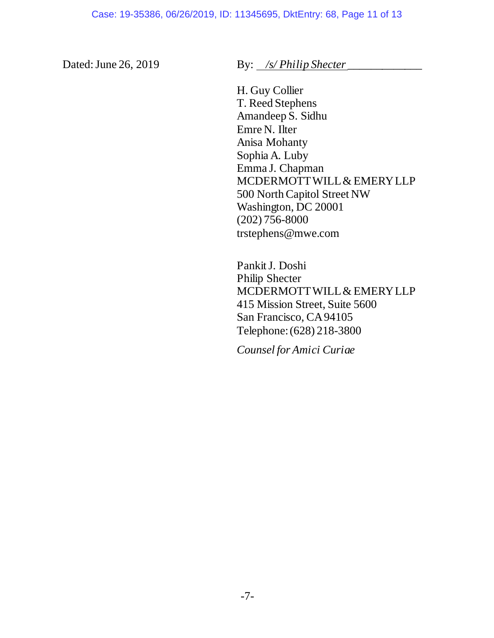Dated: June 26, 2019 By: */s/ Philip Shecter* 

H. Guy Collier T. Reed Stephens Amandeep S. Sidhu Emre N. Ilter Anisa Mohanty Sophia A. Luby Emma J. Chapman MCDERMOTT WILL & EMERY LLP 500 North Capitol Street NW Washington, DC 20001 (202) 756-8000 trstephens@mwe.com

Pankit J. Doshi Philip Shecter MCDERMOTT WILL & EMERY LLP 415 Mission Street, Suite 5600 San Francisco, CA 94105 Telephone: (628) 218-3800

*Counsel for Amici Curiae*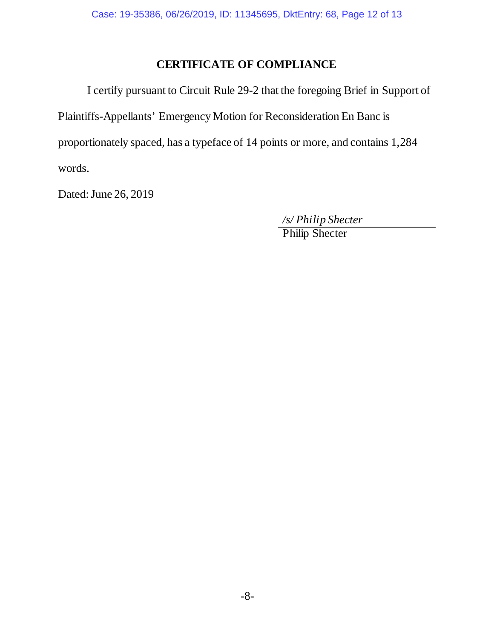# **CERTIFICATE OF COMPLIANCE**

I certify pursuant to Circuit Rule 29-2 that the foregoing Brief in Support of Plaintiffs-Appellants' Emergency Motion for Reconsideration En Banc is proportionately spaced, has a typeface of 14 points or more, and contains 1,284 words.

Dated: June 26, 2019

*/s/ Philip Shecter* 

Philip Shecter